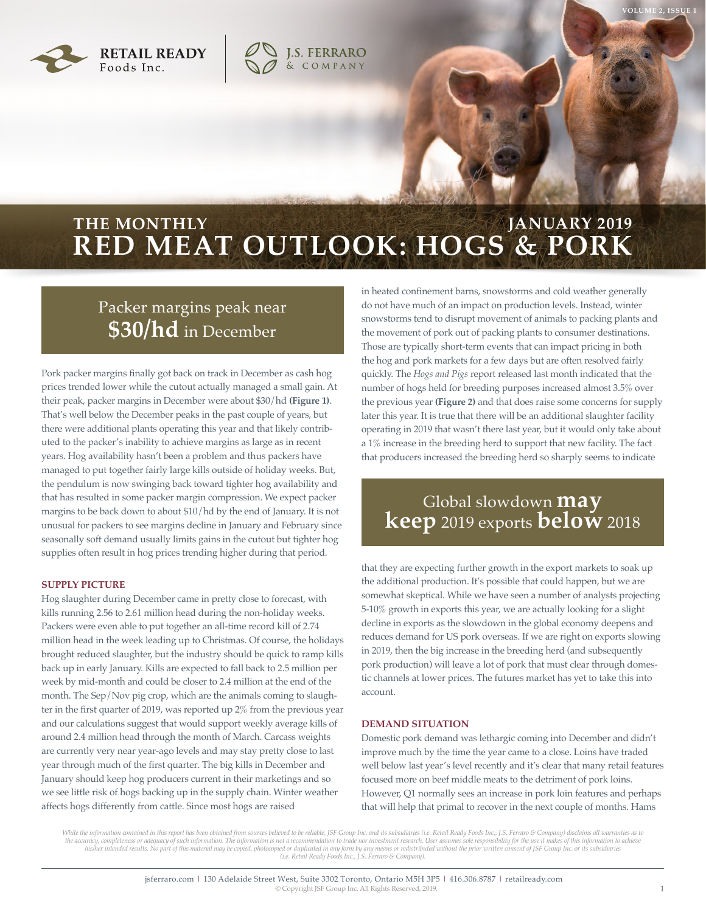



### **RED MEAT OUTLOOK: HOGS & PORK THE MONTHLY JANUARY 2019**

### Packer margins peak near **\$30/hd** in December

Pork packer margins finally got back on track in December as cash hog prices trended lower while the cutout actually managed a small gain. At their peak, packer margins in December were about \$30/hd **(Figure 1)**. That's well below the December peaks in the past couple of years, but there were additional plants operating this year and that likely contributed to the packer's inability to achieve margins as large as in recent years. Hog availability hasn't been a problem and thus packers have managed to put together fairly large kills outside of holiday weeks. But, the pendulum is now swinging back toward tighter hog availability and that has resulted in some packer margin compression. We expect packer margins to be back down to about \$10/hd by the end of January. It is not unusual for packers to see margins decline in January and February since seasonally soft demand usually limits gains in the cutout but tighter hog supplies often result in hog prices trending higher during that period.

#### **SUPPLY PICTURE**

Hog slaughter during December came in pretty close to forecast, with kills running 2.56 to 2.61 million head during the non-holiday weeks. Packers were even able to put together an all-time record kill of 2.74 million head in the week leading up to Christmas. Of course, the holidays brought reduced slaughter, but the industry should be quick to ramp kills back up in early January. Kills are expected to fall back to 2.5 million per week by mid-month and could be closer to 2.4 million at the end of the month. The Sep/Nov pig crop, which are the animals coming to slaughter in the first quarter of 2019, was reported up 2% from the previous year and our calculations suggest that would support weekly average kills of around 2.4 million head through the month of March. Carcass weights are currently very near year-ago levels and may stay pretty close to last year through much of the first quarter. The big kills in December and January should keep hog producers current in their marketings and so we see little risk of hogs backing up in the supply chain. Winter weather affects hogs differently from cattle. Since most hogs are raised

in heated confinement barns, snowstorms and cold weather generally do not have much of an impact on production levels. Instead, winter snowstorms tend to disrupt movement of animals to packing plants and the movement of pork out of packing plants to consumer destinations. Those are typically short-term events that can impact pricing in both the hog and pork markets for a few days but are often resolved fairly quickly. The *Hogs and Pigs* report released last month indicated that the number of hogs held for breeding purposes increased almost 3.5% over the previous year **(Figure 2)** and that does raise some concerns for supply later this year. It is true that there will be an additional slaughter facility operating in 2019 that wasn't there last year, but it would only take about a 1% increase in the breeding herd to support that new facility. The fact that producers increased the breeding herd so sharply seems to indicate

# Global slowdown **may keep** 2019 exports **below** 2018

that they are expecting further growth in the export markets to soak up the additional production. It's possible that could happen, but we are somewhat skeptical. While we have seen a number of analysts projecting 5-10% growth in exports this year, we are actually looking for a slight decline in exports as the slowdown in the global economy deepens and reduces demand for US pork overseas. If we are right on exports slowing in 2019, then the big increase in the breeding herd (and subsequently pork production) will leave a lot of pork that must clear through domestic channels at lower prices. The futures market has yet to take this into account.

### **DEMAND SITUATION**

Domestic pork demand was lethargic coming into December and didn't improve much by the time the year came to a close. Loins have traded well below last year's level recently and it's clear that many retail features focused more on beef middle meats to the detriment of pork loins. However, Q1 normally sees an increase in pork loin features and perhaps that will help that primal to recover in the next couple of months. Hams

While the information contained in this report has been obtained from sources believed to be reliable, JSF Group Inc. and its subsidiaries (i.e. Retail Ready Foods Inc., J.S. Ferraro & Company) disclaims all warranties as the accuracy, completeness or adequacy of such information. The information is not a recommendation to trade nor investment research. User assumes sole responsibility for the use it makes of this information to achieve<br>his *(i.e. Retail Ready Foods Inc., J.S. Ferraro & Company).*